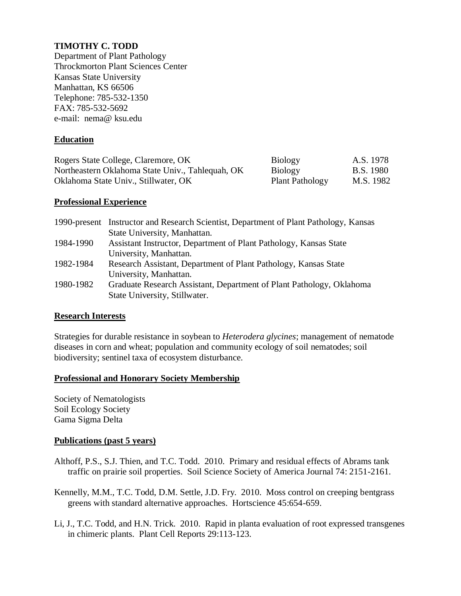# **TIMOTHY C. TODD**

Department of Plant Pathology Throckmorton Plant Sciences Center Kansas State University Manhattan, KS 66506 Telephone: 785-532-1350 FAX: 785-532-5692 e-mail: nema@ ksu.edu

## **Education**

| Rogers State College, Claremore, OK              | <b>Biology</b>         | A.S. 1978 |
|--------------------------------------------------|------------------------|-----------|
| Northeastern Oklahoma State Univ., Tahlequah, OK | <b>Biology</b>         | B.S. 1980 |
| Oklahoma State Univ., Stillwater, OK             | <b>Plant Pathology</b> | M.S. 1982 |

### **Professional Experience**

|           | 1990-present Instructor and Research Scientist, Department of Plant Pathology, Kansas |
|-----------|---------------------------------------------------------------------------------------|
|           | State University, Manhattan.                                                          |
| 1984-1990 | Assistant Instructor, Department of Plant Pathology, Kansas State                     |
|           | University, Manhattan.                                                                |
| 1982-1984 | Research Assistant, Department of Plant Pathology, Kansas State                       |
|           | University, Manhattan.                                                                |
| 1980-1982 | Graduate Research Assistant, Department of Plant Pathology, Oklahoma                  |
|           | State University, Stillwater.                                                         |

### **Research Interests**

Strategies for durable resistance in soybean to *Heterodera glycines*; management of nematode diseases in corn and wheat; population and community ecology of soil nematodes; soil biodiversity; sentinel taxa of ecosystem disturbance.

### **Professional and Honorary Society Membership**

Society of Nematologists Soil Ecology Society Gama Sigma Delta

#### **Publications (past 5 years)**

- Althoff, P.S., S.J. Thien, and T.C. Todd. 2010. Primary and residual effects of Abrams tank traffic on prairie soil properties. Soil Science Society of America Journal 74: 2151-2161.
- Kennelly, M.M., T.C. Todd, D.M. Settle, J.D. Fry. 2010. Moss control on creeping bentgrass greens with standard alternative approaches. Hortscience 45:654-659.
- Li, J., T.C. Todd, and H.N. Trick. 2010. Rapid in planta evaluation of root expressed transgenes in chimeric plants. Plant Cell Reports 29:113-123.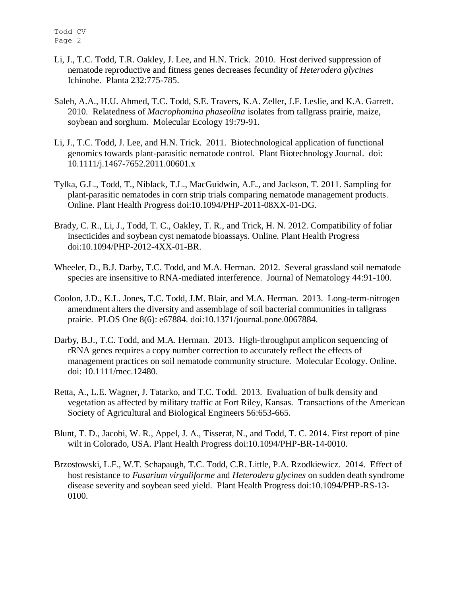- Li, J., T.C. Todd, T.R. Oakley, J. Lee, and H.N. Trick. 2010. Host derived suppression of nematode reproductive and fitness genes decreases fecundity of *Heterodera glycines* Ichinohe. Planta 232:775-785.
- Saleh, A.A., H.U. Ahmed, T.C. Todd, S.E. Travers, K.A. Zeller, J.F. Leslie, and K.A. Garrett. 2010. Relatedness of *Macrophomina phaseolina* isolates from tallgrass prairie, maize, soybean and sorghum. Molecular Ecology 19:79-91.
- Li, J., T.C. Todd, J. Lee, and H.N. Trick. 2011. Biotechnological application of functional genomics towards plant-parasitic nematode control. Plant Biotechnology Journal. doi: 10.1111/j.1467-7652.2011.00601.x
- Tylka, G.L., Todd, T., Niblack, T.L., MacGuidwin, A.E., and Jackson, T. 2011. Sampling for plant-parasitic nematodes in corn strip trials comparing nematode management products. Online. Plant Health Progress doi:10.1094/PHP-2011-08XX-01-DG.
- Brady, C. R., Li, J., Todd, T. C., Oakley, T. R., and Trick, H. N. 2012. Compatibility of foliar insecticides and soybean cyst nematode bioassays. Online. Plant Health Progress doi:10.1094/PHP-2012-4XX-01-BR.
- Wheeler, D., B.J. Darby, T.C. Todd, and M.A. Herman. 2012. Several grassland soil nematode species are insensitive to RNA-mediated interference. Journal of Nematology 44:91-100.
- Coolon, J.D., K.L. Jones, T.C. Todd, J.M. Blair, and M.A. Herman. 2013. Long-term-nitrogen amendment alters the diversity and assemblage of soil bacterial communities in tallgrass prairie. PLOS One 8(6): e67884. doi:10.1371/journal.pone.0067884.
- Darby, B.J., T.C. Todd, and M.A. Herman. 2013. High-throughput amplicon sequencing of rRNA genes requires a copy number correction to accurately reflect the effects of management practices on soil nematode community structure. Molecular Ecology. Online. doi: 10.1111/mec.12480.
- Retta, A., L.E. Wagner, J. Tatarko, and T.C. Todd. 2013. Evaluation of bulk density and vegetation as affected by military traffic at Fort Riley, Kansas. Transactions of the American Society of Agricultural and Biological Engineers 56:653-665.
- Blunt, T. D., Jacobi, W. R., Appel, J. A., Tisserat, N., and Todd, T. C. 2014. First report of pine wilt in Colorado, USA. Plant Health Progress doi:10.1094/PHP-BR-14-0010.
- Brzostowski, L.F., W.T. Schapaugh, T.C. Todd, C.R. Little, P.A. Rzodkiewicz. 2014. Effect of host resistance to *Fusarium virguliforme* and *Heterodera glycines* on sudden death syndrome disease severity and soybean seed yield. Plant Health Progress doi:10.1094/PHP-RS-13- 0100.